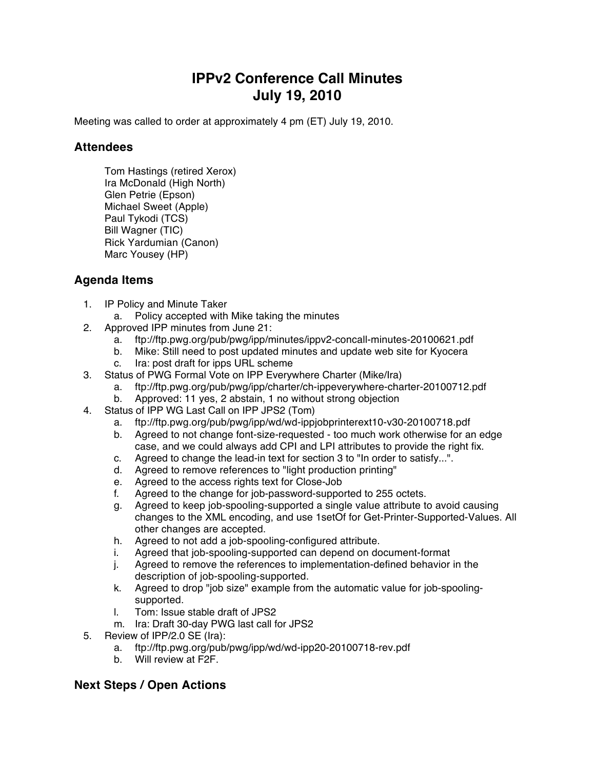## **IPPv2 Conference Call Minutes July 19, 2010**

Meeting was called to order at approximately 4 pm (ET) July 19, 2010.

## **Attendees**

Tom Hastings (retired Xerox) Ira McDonald (High North) Glen Petrie (Epson) Michael Sweet (Apple) Paul Tykodi (TCS) Bill Wagner (TIC) Rick Yardumian (Canon) Marc Yousey (HP)

## **Agenda Items**

- 1. IP Policy and Minute Taker
	- a. Policy accepted with Mike taking the minutes
- 2. Approved IPP minutes from June 21:
	- a. ftp://ftp.pwg.org/pub/pwg/ipp/minutes/ippv2-concall-minutes-20100621.pdf
	- b. Mike: Still need to post updated minutes and update web site for Kyocera
	- c. Ira: post draft for ipps URL scheme
- 3. Status of PWG Formal Vote on IPP Everywhere Charter (Mike/Ira)
	- a. ftp://ftp.pwg.org/pub/pwg/ipp/charter/ch-ippeverywhere-charter-20100712.pdf
	- b. Approved: 11 yes, 2 abstain, 1 no without strong objection
- 4. Status of IPP WG Last Call on IPP JPS2 (Tom)
	- a. ftp://ftp.pwg.org/pub/pwg/ipp/wd/wd-ippjobprinterext10-v30-20100718.pdf
	- b. Agreed to not change font-size-requested too much work otherwise for an edge case, and we could always add CPI and LPI attributes to provide the right fix.
	- c. Agreed to change the lead-in text for section 3 to "In order to satisfy...".
	- d. Agreed to remove references to "light production printing"
	- e. Agreed to the access rights text for Close-Job
	- f. Agreed to the change for job-password-supported to 255 octets.
	- g. Agreed to keep job-spooling-supported a single value attribute to avoid causing changes to the XML encoding, and use 1setOf for Get-Printer-Supported-Values. All other changes are accepted.
	- h. Agreed to not add a job-spooling-configured attribute.
	- i. Agreed that job-spooling-supported can depend on document-format
	- j. Agreed to remove the references to implementation-defined behavior in the description of job-spooling-supported.
	- k. Agreed to drop "job size" example from the automatic value for job-spoolingsupported.
	- l. Tom: Issue stable draft of JPS2
	- m. Ira: Draft 30-day PWG last call for JPS2
- 5. Review of IPP/2.0 SE (Ira):
	- a. ftp://ftp.pwg.org/pub/pwg/ipp/wd/wd-ipp20-20100718-rev.pdf
	- b. Will review at F2F.

## **Next Steps / Open Actions**